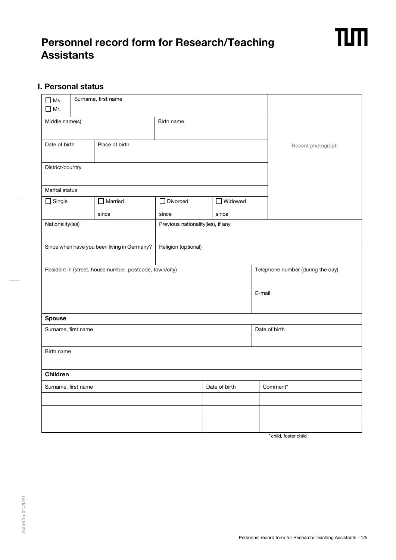# **Personnel record form for Research/Teaching Assistants**

## **I. Personal status**

| $\square$ Ms.<br>$\Box$ Mr. |                                                         | Surname, first name |                 |                                   |                   |  |                                   |  |
|-----------------------------|---------------------------------------------------------|---------------------|-----------------|-----------------------------------|-------------------|--|-----------------------------------|--|
| Middle name(s)              |                                                         | Birth name          |                 |                                   |                   |  |                                   |  |
| Date of birth               |                                                         | Place of birth      |                 |                                   | Recent photograph |  |                                   |  |
| District/country            |                                                         |                     |                 |                                   |                   |  |                                   |  |
| Marital status              |                                                         |                     |                 |                                   |                   |  |                                   |  |
| $\Box$ Single               |                                                         | $\Box$ Married      | $\Box$ Divorced | $\Box$ Widowed                    |                   |  |                                   |  |
|                             |                                                         | since               | since           |                                   | since             |  |                                   |  |
| Nationality(ies)            |                                                         |                     |                 | Previous nationality(ies), if any |                   |  |                                   |  |
|                             | Since when have you been living in Germany?             |                     |                 | Religion (optional)               |                   |  |                                   |  |
|                             | Resident in (street, house number, postcode, town/city) |                     |                 |                                   |                   |  | Telephone number (during the day) |  |
|                             |                                                         |                     | E-mail          |                                   |                   |  |                                   |  |
| <b>Spouse</b>               |                                                         |                     |                 |                                   |                   |  |                                   |  |
| Surname, first name         |                                                         |                     |                 |                                   | Date of birth     |  |                                   |  |
| Birth name                  |                                                         |                     |                 |                                   |                   |  |                                   |  |
| Children                    |                                                         |                     |                 |                                   |                   |  |                                   |  |
| Surname, first name         |                                                         |                     |                 | Date of birth                     |                   |  | Comment*                          |  |
|                             |                                                         |                     |                 |                                   |                   |  |                                   |  |
|                             |                                                         |                     |                 |                                   |                   |  |                                   |  |
|                             |                                                         |                     |                 |                                   |                   |  |                                   |  |

\* child, foster child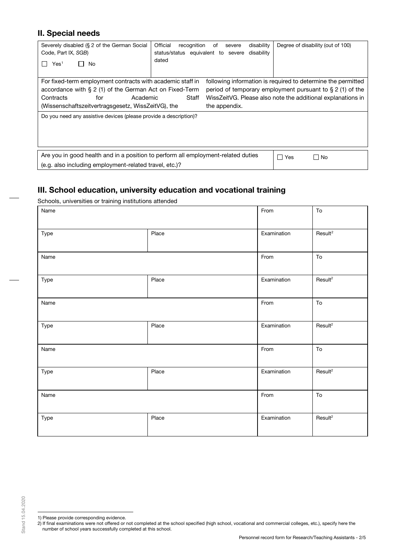## **II. Special needs**

| Severely disabled (§ 2 of the German Social<br>Code, Part IX, SGB)<br>Yes <sup>1</sup><br>No<br>$\Box$                                                                                                         | Official<br>recognition<br>disability<br>of<br>severe<br>status/status equivalent to severe<br>disability<br>dated | Degree of disability (out of 100)                                                                                                                                                           |
|----------------------------------------------------------------------------------------------------------------------------------------------------------------------------------------------------------------|--------------------------------------------------------------------------------------------------------------------|---------------------------------------------------------------------------------------------------------------------------------------------------------------------------------------------|
| For fixed-term employment contracts with academic staff in<br>accordance with $\S 2$ (1) of the German Act on Fixed-Term<br>Contracts<br>Academic<br>for<br>(Wissenschaftszeitvertragsgesetz, WissZeitVG), the | Staff<br>the appendix.                                                                                             | following information is required to determine the permitted<br>period of temporary employment pursuant to $\S 2$ (1) of the<br>WissZeitVG. Please also note the additional explanations in |
| Do you need any assistive devices (please provide a description)?                                                                                                                                              |                                                                                                                    |                                                                                                                                                                                             |
| Are you in good health and in a position to perform all employment-related duties<br>(e.g. also including employment-related travel, etc.)?                                                                    |                                                                                                                    | ∏ No<br>$\blacksquare$<br>Yes                                                                                                                                                               |

## **III. School education, university education and vocational training**

Schools, universities or training institutions attended

| Name |       | From        | To                  |
|------|-------|-------------|---------------------|
| Type | Place | Examination | Result <sup>2</sup> |
| Name |       | From        | To                  |
| Type | Place | Examination | Result <sup>2</sup> |
| Name |       | From        | To                  |
| Type | Place | Examination | Result <sup>2</sup> |
| Name |       | From        | To                  |
| Type | Place | Examination | Result <sup>2</sup> |
| Name |       | From        | To                  |
| Type | Place | Examination | Result <sup>2</sup> |

<sup>1)</sup> Please provide corresponding evidence.

<span id="page-1-1"></span><span id="page-1-0"></span><sup>2)</sup> If final examinations were not offered or not completed at the school specified (high school, vocational and commercial colleges, etc.), specify here the number of school years successfully completed at this school.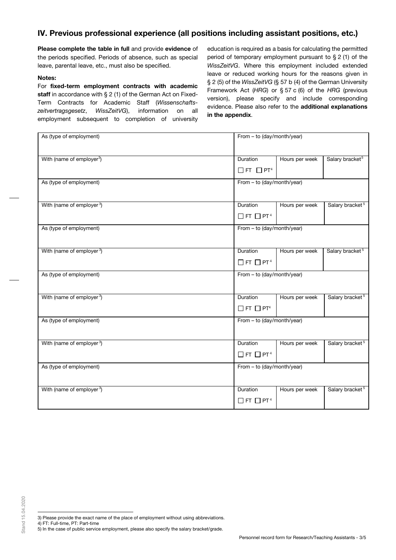## **IV. Previous professional experience (all positions including assistant positions, etc.)**

**Please complete the table in full** and provide **evidence** of the periods specified. Periods of absence, such as special leave, parental leave, etc., must also be specified.

#### **Notes:**

For **fixed-term employment contracts with academic staff** in accordance with § 2 (1) of the German Act on Fixed-Term Contracts for Academic Staff (*Wissenschaftszeitvertragsgesetz*, *WissZeitVG*), information on all employment subsequent to completion of university

education is required as a basis for calculating the permitted period of temporary employment pursuant to § 2 (1) of the *WissZeitVG*. Where this employment included extended leave or reduced working hours for the reasons given in § 2 (5) of the *WissZeitVG* (§ 57 b (4) of the German University Framework Act (*HRG*) or § 57 c (6) of the *HRG* (previous version), please specify and include corresponding evidence. Please also refer to the **additional explanations in the appendix**.

| As (type of employment)               | From - to (day/month/year)       |                |                             |  |
|---------------------------------------|----------------------------------|----------------|-----------------------------|--|
| With (name of employer <sup>3</sup> ) | Duration                         | Hours per week | Salary bracket <sup>5</sup> |  |
|                                       | $\Box$ FT $\Box$ PT <sup>4</sup> |                |                             |  |
| As (type of employment)               | From - to (day/month/year)       |                |                             |  |
| With (name of employer <sup>3</sup> ) | Duration                         | Hours per week | Salary bracket <sup>5</sup> |  |
|                                       | $\Box$ FT $\Box$ PT <sup>4</sup> |                |                             |  |
| As (type of employment)               | From - to (day/month/year)       |                |                             |  |
| With (name of employer <sup>3</sup> ) | Duration                         | Hours per week | Salary bracket <sup>5</sup> |  |
|                                       | $\Box$ FT $\Box$ PT <sup>4</sup> |                |                             |  |
| As (type of employment)               | From - to (day/month/year)       |                |                             |  |
| With (name of employer <sup>3</sup> ) | Duration                         | Hours per week | Salary bracket <sup>5</sup> |  |
|                                       | $\Box$ FT $\Box$ PT <sup>4</sup> |                |                             |  |
| As (type of employment)               | From - to (day/month/year)       |                |                             |  |
| With (name of employer <sup>3</sup> ) | Duration                         | Hours per week | Salary bracket <sup>5</sup> |  |
|                                       | $\Box$ FT $\Box$ PT <sup>4</sup> |                |                             |  |
| As (type of employment)               | From - to (day/month/year)       |                |                             |  |
| With (name of employer <sup>3</sup> ) | Duration                         | Hours per week | Salary bracket <sup>5</sup> |  |
|                                       | $\Box$ FT $\Box$ PT <sup>4</sup> |                |                             |  |

- 3) Please provide the exact name of the place of employment without using abbreviations.
- <span id="page-2-2"></span><span id="page-2-1"></span><span id="page-2-0"></span>4) FT: Full-time, PT: Part-time
- 5) In the case of public service employment, please also specify the salary bracket/grade.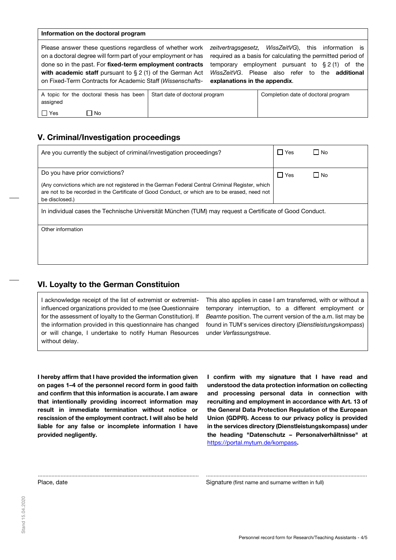#### **Information on the doctoral program**

| Please answer these questions regardless of whether work<br>on a doctoral degree will form part of your employment or has<br>done so in the past. For fixed-term employment contracts<br>with academic staff pursuant to $\S 2$ (1) of the German Act<br>on Fixed-Term Contracts for Academic Staff (Wissenschafts- | WissZeitVG),<br>zeitvertragsgesetz,<br>this information is<br>required as a basis for calculating the permitted period of<br>employment pursuant to $\S 2(1)$ of the<br>temporary<br>WissZeitVG. Please also refer to the <b>additional</b><br>explanations in the appendix. |  |  |                                     |
|---------------------------------------------------------------------------------------------------------------------------------------------------------------------------------------------------------------------------------------------------------------------------------------------------------------------|------------------------------------------------------------------------------------------------------------------------------------------------------------------------------------------------------------------------------------------------------------------------------|--|--|-------------------------------------|
| A topic for the doctoral thesis has been<br>assigned<br>$\Box$ Yes<br>□ No                                                                                                                                                                                                                                          | Start date of doctoral program                                                                                                                                                                                                                                               |  |  | Completion date of doctoral program |

### **V. Criminal/Investigation proceedings**

| Are you currently the subject of criminal/investigation proceedings?                                                                                                                                                 | l I Yes    | ⊟ No      |  |  |
|----------------------------------------------------------------------------------------------------------------------------------------------------------------------------------------------------------------------|------------|-----------|--|--|
| Do you have prior convictions?                                                                                                                                                                                       | $\Box$ Yes | $\Box$ No |  |  |
| (Any convictions which are not registered in the German Federal Central Criminal Register, which<br>are not to be recorded in the Certificate of Good Conduct, or which are to be erased, need not<br>be disclosed.) |            |           |  |  |
| In individual cases the Technische Universität München (TUM) may request a Certificate of Good Conduct.                                                                                                              |            |           |  |  |
| Other information                                                                                                                                                                                                    |            |           |  |  |
|                                                                                                                                                                                                                      |            |           |  |  |
|                                                                                                                                                                                                                      |            |           |  |  |

.......................................................................................................... ..........................................................................................................

### **VI. Loyalty to the German Constituion**

I acknowledge receipt of the list of extremist or extremistinfluenced organizations provided to me (see Questionnaire for the assessment of loyalty to the German Constitution). If the information provided in this questionnaire has changed or will change, I undertake to notify Human Resources without delay.

This also applies in case I am transferred, with or without a temporary interruption, to a different employment or *Beamte* position. The current version of the a.m. list may be found in TUM's services directory (*Dienstleistungskompass*) under *Verfassungstreue*.

**I hereby affirm that I have provided the information given on pages 1–4 of the personnel record form in good faith and confirm that this information is accurate. I am aware that intentionally providing incorrect information may result in immediate termination without notice or rescission of the employment contract. I will also be held liable for any false or incomplete information I have provided negligently.** 

**I confirm with my signature that I have read and understood the data protection information on collecting and processing personal data in connection with recruiting and employment in accordance with Art. 13 of the General Data Protection Regulation of the European Union (GDPR). Access to our privacy policy is provided in the services directory (Dienstleistungskompass) under the heading "Datenschutz – Personalverhältnisse" at**  <https://portal.mytum.de/kompass>**.** 

Place, date **Signature (first name and surname written in full)** Signature (first name and surname written in full)